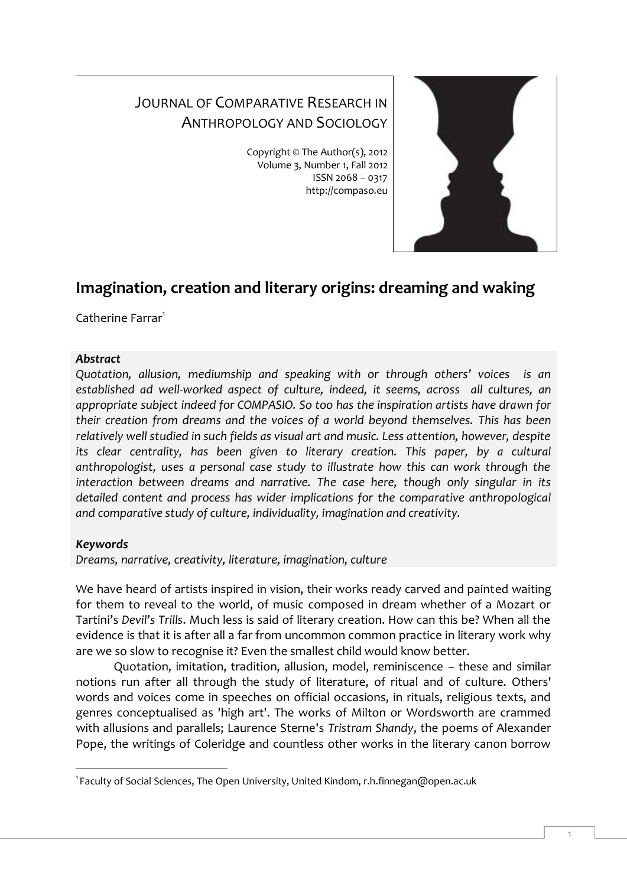# JOURNAL OF COMPARATIVE RESEARCH IN ANTHROPOLOGY AND SOCIOLOGY

Copyright © The Author(s), 2012 Volume 3, Number 1, Fall 2012 ISSN 2068 – 0317 http://compaso.eu



## **Imagination, creation and literary origins: dreaming and waking**

Catherine Farrar<sup>1</sup>

## *Abstract*

*Quotation, allusion, mediumship and speaking with or through others' voices is an established ad well-worked aspect of culture, indeed, it seems, across all cultures, an appropriate subject indeed for COMPASIO. So too has the inspiration artists have drawn for their creation from dreams and the voices of a world beyond themselves. This has been relatively well studied in such fields as visual art and music. Less attention, however, despite its clear centrality, has been given to literary creation. This paper, by a cultural anthropologist, uses a personal case study to illustrate how this can work through the interaction between dreams and narrative. The case here, though only singular in its detailed content and process has wider implications for the comparative anthropological and comparative study of culture, individuality, imagination and creativity.* 

## *Keywords*

-

*Dreams, narrative, creativity, literature, imagination, culture*

We have heard of artists inspired in vision, their works ready carved and painted waiting for them to reveal to the world, of music composed in dream whether of a Mozart or Tartini's *Devil's Trills*. Much less is said of literary creation. How can this be? When all the evidence is that it is after all a far from uncommon common practice in literary work why are we so slow to recognise it? Even the smallest child would know better.

Quotation, imitation, tradition, allusion, model, reminiscence – these and similar notions run after all through the study of literature, of ritual and of culture. Others' words and voices come in speeches on official occasions, in rituals, religious texts, and genres conceptualised as 'high art'. The works of Milton or Wordsworth are crammed with allusions and parallels; Laurence Sterne's *Tristram Shandy*, the poems of Alexander Pope, the writings of Coleridge and countless other works in the literary canon borrow

<sup>1</sup> Faculty of Social Sciences, The Open University, United Kindom, r.h.finnegan@open.ac.uk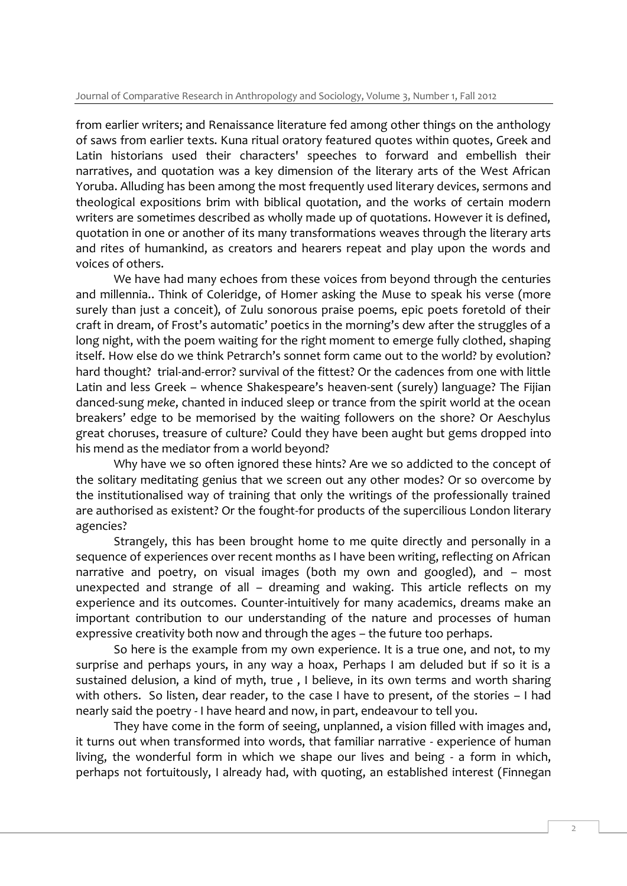from earlier writers; and Renaissance literature fed among other things on the anthology of saws from earlier texts. Kuna ritual oratory featured quotes within quotes, Greek and Latin historians used their characters' speeches to forward and embellish their narratives, and quotation was a key dimension of the literary arts of the West African Yoruba. Alluding has been among the most frequently used literary devices, sermons and theological expositions brim with biblical quotation, and the works of certain modern writers are sometimes described as wholly made up of quotations. However it is defined, quotation in one or another of its many transformations weaves through the literary arts and rites of humankind, as creators and hearers repeat and play upon the words and voices of others.

We have had many echoes from these voices from beyond through the centuries and millennia.. Think of Coleridge, of Homer asking the Muse to speak his verse (more surely than just a conceit), of Zulu sonorous praise poems, epic poets foretold of their craft in dream, of Frost's automatic' poetics in the morning's dew after the struggles of a long night, with the poem waiting for the right moment to emerge fully clothed, shaping itself. How else do we think Petrarch's sonnet form came out to the world? by evolution? hard thought? trial-and-error? survival of the fittest? Or the cadences from one with little Latin and less Greek – whence Shakespeare's heaven-sent (surely) language? The Fijian danced-sung *meke*, chanted in induced sleep or trance from the spirit world at the ocean breakers' edge to be memorised by the waiting followers on the shore? Or Aeschylus great choruses, treasure of culture? Could they have been aught but gems dropped into his mend as the mediator from a world beyond?

Why have we so often ignored these hints? Are we so addicted to the concept of the solitary meditating genius that we screen out any other modes? Or so overcome by the institutionalised way of training that only the writings of the professionally trained are authorised as existent? Or the fought-for products of the supercilious London literary agencies?

Strangely, this has been brought home to me quite directly and personally in a sequence of experiences over recent months as I have been writing, reflecting on African narrative and poetry, on visual images (both my own and googled), and – most unexpected and strange of all – dreaming and waking. This article reflects on my experience and its outcomes. Counter-intuitively for many academics, dreams make an important contribution to our understanding of the nature and processes of human expressive creativity both now and through the ages – the future too perhaps.

So here is the example from my own experience. It is a true one, and not, to my surprise and perhaps yours, in any way a hoax, Perhaps I am deluded but if so it is a sustained delusion, a kind of myth, true , I believe, in its own terms and worth sharing with others. So listen, dear reader, to the case I have to present, of the stories – I had nearly said the poetry - I have heard and now, in part, endeavour to tell you.

They have come in the form of seeing, unplanned, a vision filled with images and, it turns out when transformed into words, that familiar narrative - experience of human living, the wonderful form in which we shape our lives and being - a form in which, perhaps not fortuitously, I already had, with quoting, an established interest (Finnegan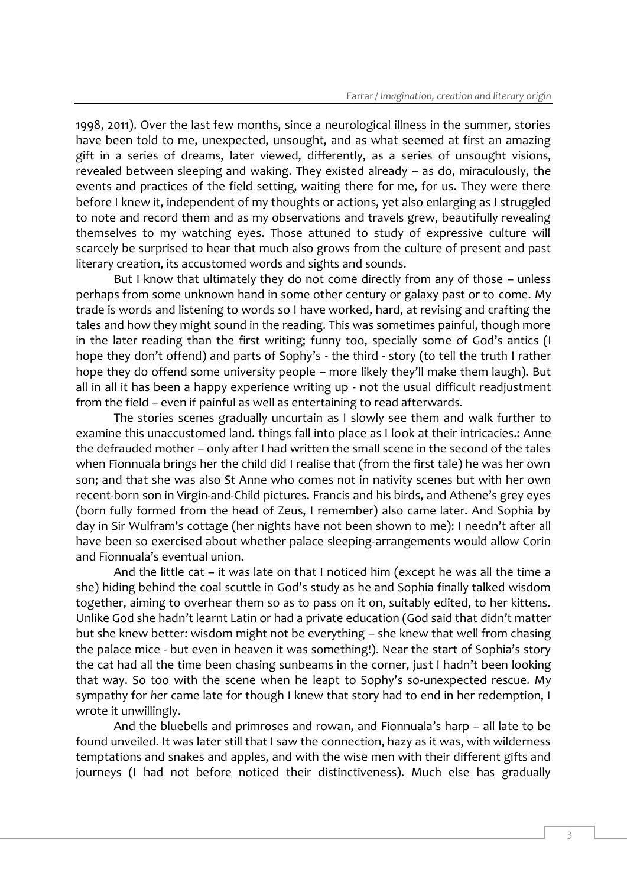1998, 2011). Over the last few months, since a neurological illness in the summer, stories have been told to me, unexpected, unsought, and as what seemed at first an amazing gift in a series of dreams, later viewed, differently, as a series of unsought visions, revealed between sleeping and waking. They existed already – as do, miraculously, the events and practices of the field setting, waiting there for me, for us. They were there before I knew it, independent of my thoughts or actions, yet also enlarging as I struggled to note and record them and as my observations and travels grew, beautifully revealing themselves to my watching eyes. Those attuned to study of expressive culture will scarcely be surprised to hear that much also grows from the culture of present and past literary creation, its accustomed words and sights and sounds.

But I know that ultimately they do not come directly from any of those – unless perhaps from some unknown hand in some other century or galaxy past or to come. My trade is words and listening to words so I have worked, hard, at revising and crafting the tales and how they might sound in the reading. This was sometimes painful, though more in the later reading than the first writing; funny too, specially some of God's antics (I hope they don't offend) and parts of Sophy's - the third - story (to tell the truth I rather hope they do offend some university people – more likely they'll make them laugh). But all in all it has been a happy experience writing up - not the usual difficult readjustment from the field – even if painful as well as entertaining to read afterwards.

The stories scenes gradually uncurtain as I slowly see them and walk further to examine this unaccustomed land. things fall into place as I look at their intricacies.: Anne the defrauded mother – only after I had written the small scene in the second of the tales when Fionnuala brings her the child did I realise that (from the first tale) he was her own son; and that she was also St Anne who comes not in nativity scenes but with her own recent-born son in Virgin-and-Child pictures. Francis and his birds, and Athene's grey eyes (born fully formed from the head of Zeus, I remember) also came later. And Sophia by day in Sir Wulfram's cottage (her nights have not been shown to me): I needn't after all have been so exercised about whether palace sleeping-arrangements would allow Corin and Fionnuala's eventual union.

And the little cat – it was late on that I noticed him (except he was all the time a she) hiding behind the coal scuttle in God's study as he and Sophia finally talked wisdom together, aiming to overhear them so as to pass on it on, suitably edited, to her kittens. Unlike God she hadn't learnt Latin or had a private education (God said that didn't matter but she knew better: wisdom might not be everything – she knew that well from chasing the palace mice - but even in heaven it was something!). Near the start of Sophia's story the cat had all the time been chasing sunbeams in the corner, just I hadn't been looking that way. So too with the scene when he leapt to Sophy's so-unexpected rescue. My sympathy for *her* came late for though I knew that story had to end in her redemption, I wrote it unwillingly.

And the bluebells and primroses and rowan, and Fionnuala's harp – all late to be found unveiled. It was later still that I saw the connection, hazy as it was, with wilderness temptations and snakes and apples, and with the wise men with their different gifts and journeys (I had not before noticed their distinctiveness). Much else has gradually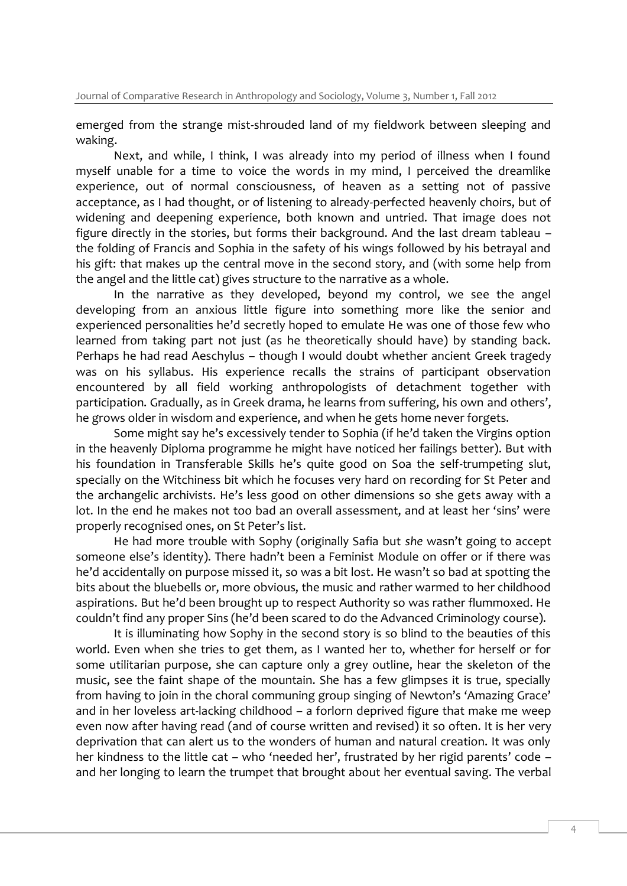emerged from the strange mist-shrouded land of my fieldwork between sleeping and waking.

Next, and while, I think, I was already into my period of illness when I found myself unable for a time to voice the words in my mind, I perceived the dreamlike experience, out of normal consciousness, of heaven as a setting not of passive acceptance, as I had thought, or of listening to already-perfected heavenly choirs, but of widening and deepening experience, both known and untried. That image does not figure directly in the stories, but forms their background. And the last dream tableau – the folding of Francis and Sophia in the safety of his wings followed by his betrayal and his gift: that makes up the central move in the second story, and (with some help from the angel and the little cat) gives structure to the narrative as a whole.

In the narrative as they developed, beyond my control, we see the angel developing from an anxious little figure into something more like the senior and experienced personalities he'd secretly hoped to emulate He was one of those few who learned from taking part not just (as he theoretically should have) by standing back. Perhaps he had read Aeschylus – though I would doubt whether ancient Greek tragedy was on his syllabus. His experience recalls the strains of participant observation encountered by all field working anthropologists of detachment together with participation. Gradually, as in Greek drama, he learns from suffering, his own and others', he grows older in wisdom and experience, and when he gets home never forgets.

Some might say he's excessively tender to Sophia (if he'd taken the Virgins option in the heavenly Diploma programme he might have noticed her failings better). But with his foundation in Transferable Skills he's quite good on Soa the self-trumpeting slut, specially on the Witchiness bit which he focuses very hard on recording for St Peter and the archangelic archivists. He's less good on other dimensions so she gets away with a lot. In the end he makes not too bad an overall assessment, and at least her 'sins' were properly recognised ones, on St Peter's list.

He had more trouble with Sophy (originally Safia but *she* wasn't going to accept someone else's identity). There hadn't been a Feminist Module on offer or if there was he'd accidentally on purpose missed it, so was a bit lost. He wasn't so bad at spotting the bits about the bluebells or, more obvious, the music and rather warmed to her childhood aspirations. But he'd been brought up to respect Authority so was rather flummoxed. He couldn't find any proper Sins (he'd been scared to do the Advanced Criminology course).

It is illuminating how Sophy in the second story is so blind to the beauties of this world. Even when she tries to get them, as I wanted her to, whether for herself or for some utilitarian purpose, she can capture only a grey outline, hear the skeleton of the music, see the faint shape of the mountain. She has a few glimpses it is true, specially from having to join in the choral communing group singing of Newton's 'Amazing Grace' and in her loveless art-lacking childhood – a forlorn deprived figure that make me weep even now after having read (and of course written and revised) it so often. It is her very deprivation that can alert us to the wonders of human and natural creation. It was only her kindness to the little cat – who 'needed her', frustrated by her rigid parents' code – and her longing to learn the trumpet that brought about her eventual saving. The verbal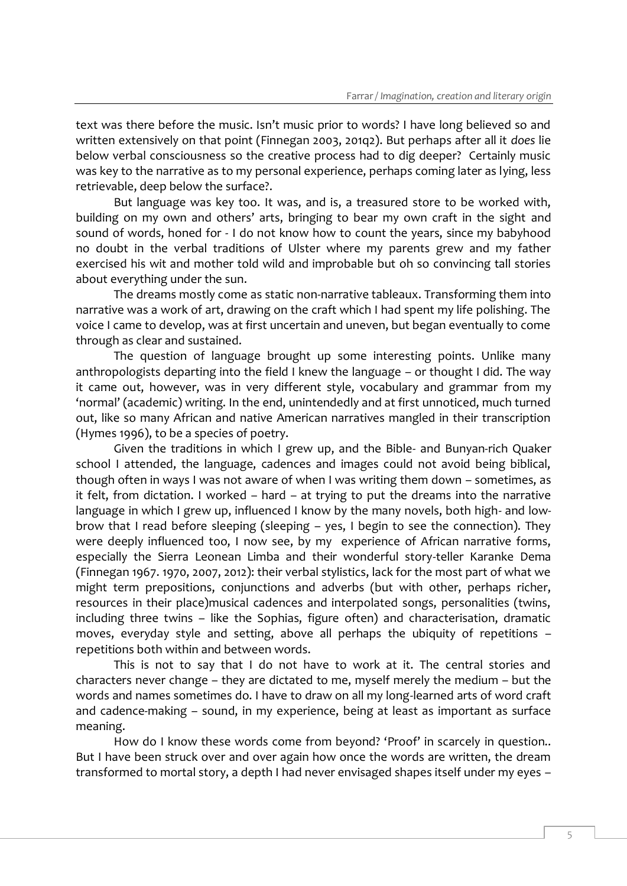text was there before the music. Isn't music prior to words? I have long believed so and written extensively on that point (Finnegan 2003, 201q2). But perhaps after all it *does* lie below verbal consciousness so the creative process had to dig deeper? Certainly music was key to the narrative as to my personal experience, perhaps coming later as lying, less retrievable, deep below the surface?.

But language was key too. It was, and is, a treasured store to be worked with, building on my own and others' arts, bringing to bear my own craft in the sight and sound of words, honed for - I do not know how to count the years, since my babyhood no doubt in the verbal traditions of Ulster where my parents grew and my father exercised his wit and mother told wild and improbable but oh so convincing tall stories about everything under the sun.

The dreams mostly come as static non-narrative tableaux. Transforming them into narrative was a work of art, drawing on the craft which I had spent my life polishing. The voice I came to develop, was at first uncertain and uneven, but began eventually to come through as clear and sustained.

The question of language brought up some interesting points. Unlike many anthropologists departing into the field I knew the language – or thought I did. The way it came out, however, was in very different style, vocabulary and grammar from my 'normal' (academic) writing. In the end, unintendedly and at first unnoticed, much turned out, like so many African and native American narratives mangled in their transcription (Hymes 1996), to be a species of poetry.

Given the traditions in which I grew up, and the Bible- and Bunyan-rich Quaker school I attended, the language, cadences and images could not avoid being biblical, though often in ways I was not aware of when I was writing them down – sometimes, as it felt, from dictation. I worked – hard – at trying to put the dreams into the narrative language in which I grew up, influenced I know by the many novels, both high- and lowbrow that I read before sleeping (sleeping – yes, I begin to see the connection). They were deeply influenced too, I now see, by my experience of African narrative forms, especially the Sierra Leonean Limba and their wonderful story-teller Karanke Dema (Finnegan 1967. 1970, 2007, 2012): their verbal stylistics, lack for the most part of what we might term prepositions, conjunctions and adverbs (but with other, perhaps richer, resources in their place)musical cadences and interpolated songs, personalities (twins, including three twins – like the Sophias, figure often) and characterisation, dramatic moves, everyday style and setting, above all perhaps the ubiquity of repetitions – repetitions both within and between words.

This is not to say that I do not have to work at it. The central stories and characters never change – they are dictated to me, myself merely the medium – but the words and names sometimes do. I have to draw on all my long-learned arts of word craft and cadence-making – sound, in my experience, being at least as important as surface meaning.

How do I know these words come from beyond? 'Proof' in scarcely in question.. But I have been struck over and over again how once the words are written, the dream transformed to mortal story, a depth I had never envisaged shapes itself under my eyes –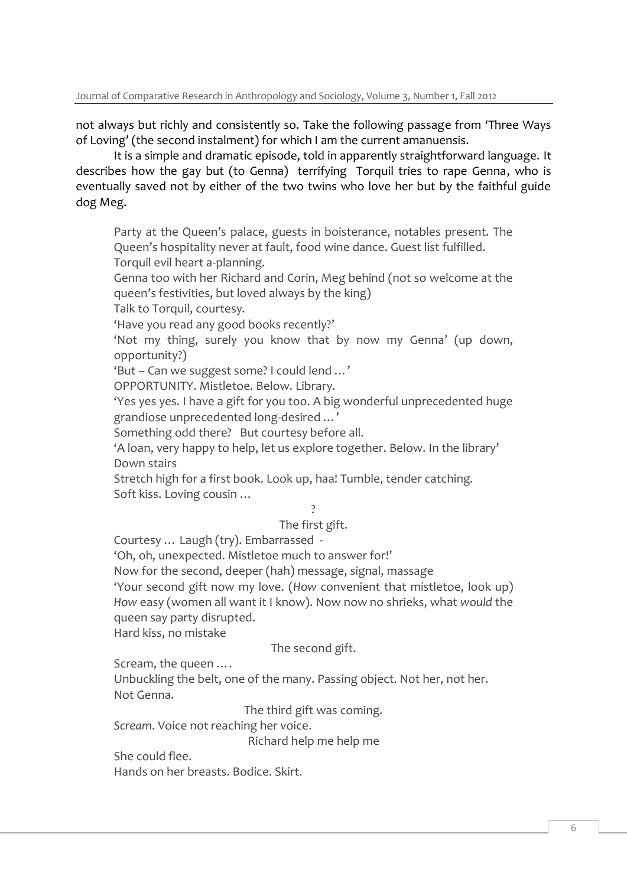not always but richly and consistently so. Take the following passage from 'Three Ways of Loving' (the second instalment) for which I am the current amanuensis.

It is a simple and dramatic episode, told in apparently straightforward language. It describes how the gay but (to Genna) terrifying Torquil tries to rape Genna, who is eventually saved not by either of the two twins who love her but by the faithful guide dog Meg.

Party at the Queen's palace, guests in boisterance, notables present. The Queen's hospitality never at fault, food wine dance. Guest list fulfilled. Torquil evil heart a-planning.

Genna too with her Richard and Corin, Meg behind (not so welcome at the queen's festivities, but loved always by the king)

Talk to Torquil, courtesy.

'Have you read any good books recently?'

'Not my thing, surely you know that by now my Genna' (up down, opportunity?)

'But – Can we suggest some? I could lend …'

OPPORTUNITY. Mistletoe. Below. Library.

'Yes yes yes. I have a gift for you too. A big wonderful unprecedented huge grandiose unprecedented long-desired …'

Something odd there? But courtesy before all.

'A loan, very happy to help, let us explore together. Below. In the library' Down stairs

Stretch high for a first book. Look up, haa! Tumble, tender catching. Soft kiss. Loving cousin …

?

The first gift.

Courtesy … Laugh (try). Embarrassed -

'Oh, oh, unexpected. Mistletoe much to answer for!'

Now for the second, deeper (hah) message, signal, massage

'Your second gift now my love. (*How* convenient that mistletoe, look up) *How* easy (women all want it I know). Now now no shrieks, what *would* the queen say party disrupted.

Hard kiss, no mistake

The second gift.

Scream, the queen ….

Unbuckling the belt, one of the many. Passing object. Not her, not her. Not Genna.

The third gift was coming.

*Scream*. Voice not reaching her voice.

Richard help me help me

She could flee.

Hands on her breasts. Bodice. Skirt.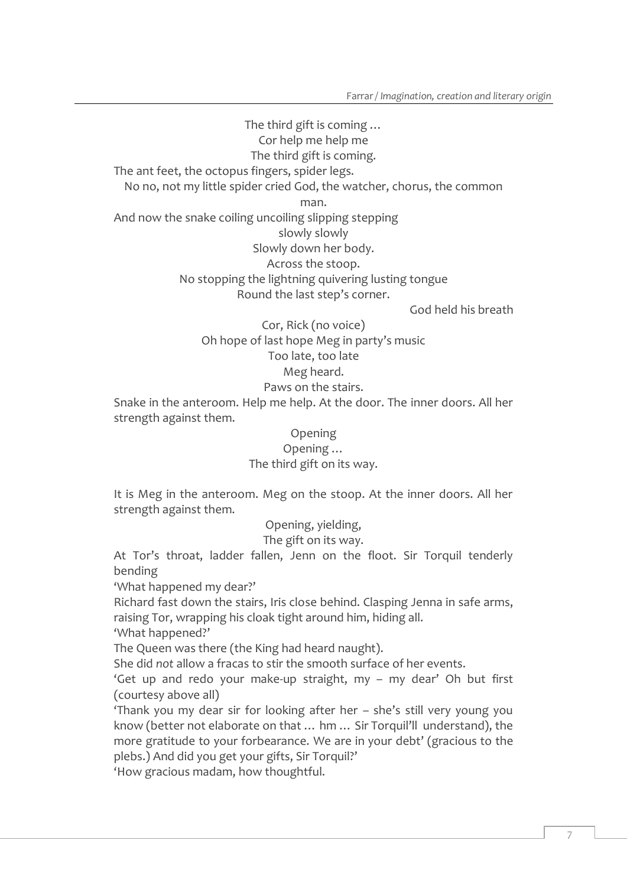The third gift is coming … Cor help me help me The third gift is coming. The ant feet, the octopus fingers, spider legs. No no, not my little spider cried God, the watcher, chorus, the common man. And now the snake coiling uncoiling slipping stepping slowly slowly Slowly down her body. Across the stoop. No stopping the lightning quivering lusting tongue Round the last step's corner.

God held his breath

Cor, Rick (no voice) Oh hope of last hope Meg in party's music Too late, too late Meg heard. Paws on the stairs.

Snake in the anteroom. Help me help. At the door. The inner doors. All her strength against them.

> Opening Opening … The third gift on its way.

It is Meg in the anteroom. Meg on the stoop. At the inner doors. All her strength against them.

Opening, yielding,

The gift on its way.

At Tor's throat, ladder fallen, Jenn on the floot. Sir Torquil tenderly bending

'What happened my dear?'

Richard fast down the stairs, Iris close behind. Clasping Jenna in safe arms, raising Tor, wrapping his cloak tight around him, hiding all.

'What happened?'

The Queen was there (the King had heard naught).

She did *not* allow a fracas to stir the smooth surface of her events.

'Get up and redo your make-up straight, my – my dear' Oh but first (courtesy above all)

'Thank you my dear sir for looking after her – she's still very young you know (better not elaborate on that … hm … Sir Torquil'll understand), the more gratitude to your forbearance. We are in your debt' (gracious to the plebs.) And did you get your gifts, Sir Torquil?'

'How gracious madam, how thoughtful.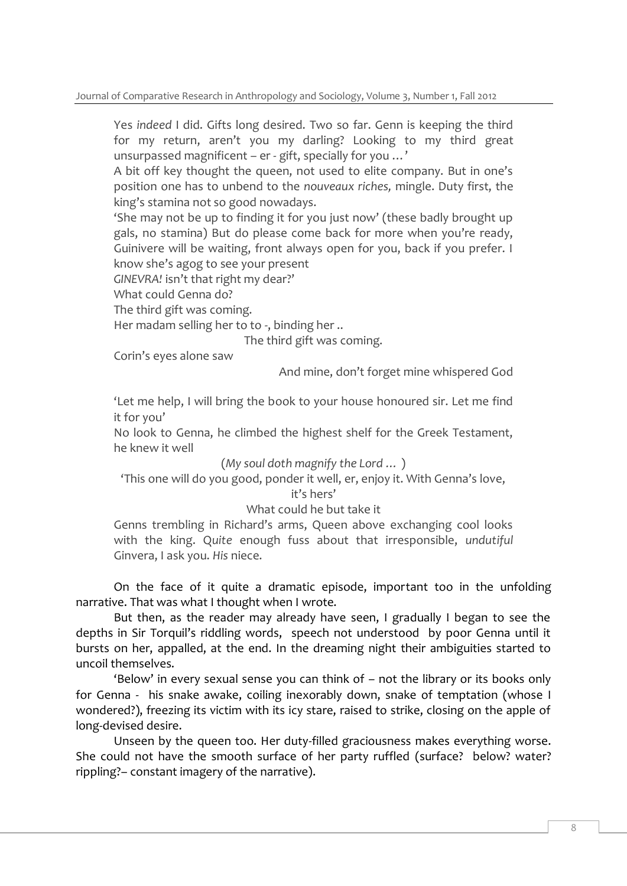Yes *indeed* I did. Gifts long desired. Two so far. Genn is keeping the third for my return, aren't you my darling? Looking to my third great unsurpassed magnificent – er - gift, specially for you …'

A bit off key thought the queen, not used to elite company. But in one's position one has to unbend to the *nouveaux riches,* mingle. Duty first, the king's stamina not so good nowadays.

'She may not be up to finding it for you just now' (these badly brought up gals, no stamina) But do please come back for more when you're ready, Guinivere will be waiting, front always open for you, back if you prefer. I know she's agog to see your present

*GINEVRA!* isn't that right my dear?'

What could Genna do?

The third gift was coming.

Her madam selling her to to -, binding her ..

The third gift was coming.

Corin's eyes alone saw

And mine, don't forget mine whispered God

'Let me help, I will bring the book to your house honoured sir. Let me find it for you'

No look to Genna, he climbed the highest shelf for the Greek Testament, he knew it well

(*My soul doth magnify the Lord …* )

'This one will do you good, ponder it well, er, enjoy it. With Genna's love,

#### it's hers'

What could he but take it

Genns trembling in Richard's arms, Queen above exchanging cool looks with the king. Q*uite* enough fuss about that irresponsible, *undutiful* Ginvera, I ask you. *His* niece.

On the face of it quite a dramatic episode, important too in the unfolding narrative. That was what I thought when I wrote.

But then, as the reader may already have seen, I gradually I began to see the depths in Sir Torquil's riddling words, speech not understood by poor Genna until it bursts on her, appalled, at the end. In the dreaming night their ambiguities started to uncoil themselves.

'Below' in every sexual sense you can think of – not the library or its books only for Genna - his snake awake, coiling inexorably down, snake of temptation (whose I wondered?), freezing its victim with its icy stare, raised to strike, closing on the apple of long-devised desire.

Unseen by the queen too. Her duty-filled graciousness makes everything worse. She could not have the smooth surface of her party ruffled (surface? below? water? rippling?– constant imagery of the narrative).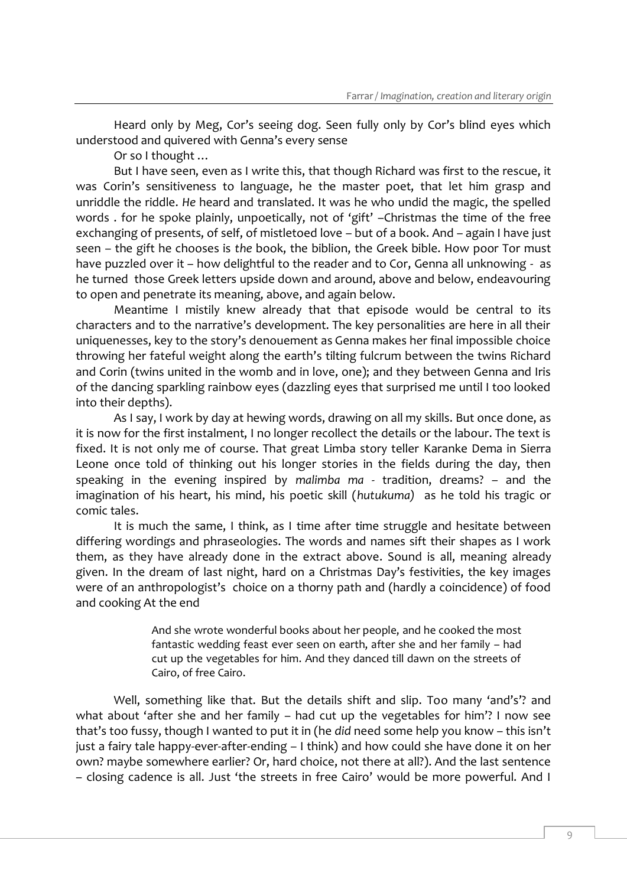Heard only by Meg, Cor's seeing dog. Seen fully only by Cor's blind eyes which understood and quivered with Genna's every sense

Or so I thought …

But I have seen, even as I write this, that though Richard was first to the rescue, it was Corin's sensitiveness to language, he the master poet, that let him grasp and unriddle the riddle. *He* heard and translated. It was he who undid the magic, the spelled words . for he spoke plainly, unpoetically, not of 'gift' –Christmas the time of the free exchanging of presents, of self, of mistletoed love – but of a book. And – again I have just seen – the gift he chooses is *the* book, the biblion, the Greek bible. How poor Tor must have puzzled over it – how delightful to the reader and to Cor, Genna all unknowing - as he turned those Greek letters upside down and around, above and below, endeavouring to open and penetrate its meaning, above, and again below.

Meantime I mistily knew already that that episode would be central to its characters and to the narrative's development. The key personalities are here in all their uniquenesses, key to the story's denouement as Genna makes her final impossible choice throwing her fateful weight along the earth's tilting fulcrum between the twins Richard and Corin (twins united in the womb and in love, one); and they between Genna and Iris of the dancing sparkling rainbow eyes (dazzling eyes that surprised me until I too looked into their depths).

As I say, I work by day at hewing words, drawing on all my skills. But once done, as it is now for the first instalment, I no longer recollect the details or the labour. The text is fixed. It is not only me of course. That great Limba story teller Karanke Dema in Sierra Leone once told of thinking out his longer stories in the fields during the day, then speaking in the evening inspired by *malimba ma -* tradition, dreams? – and the imagination of his heart, his mind, his poetic skill (*hutukuma)* as he told his tragic or comic tales.

It is much the same, I think, as I time after time struggle and hesitate between differing wordings and phraseologies. The words and names sift their shapes as I work them, as they have already done in the extract above. Sound is all, meaning already given. In the dream of last night, hard on a Christmas Day's festivities, the key images were of an anthropologist's choice on a thorny path and (hardly a coincidence) of food and cooking At the end

> And she wrote wonderful books about her people, and he cooked the most fantastic wedding feast ever seen on earth, after she and her family – had cut up the vegetables for him. And they danced till dawn on the streets of Cairo, of free Cairo.

Well, something like that. But the details shift and slip. Too many 'and's'? and what about 'after she and her family – had cut up the vegetables for him'? I now see that's too fussy, though I wanted to put it in (he *did* need some help you know – this isn't just a fairy tale happy-ever-after-ending – I think) and how could she have done it on her own? maybe somewhere earlier? Or, hard choice, not there at all?). And the last sentence – closing cadence is all. Just 'the streets in free Cairo' would be more powerful. And I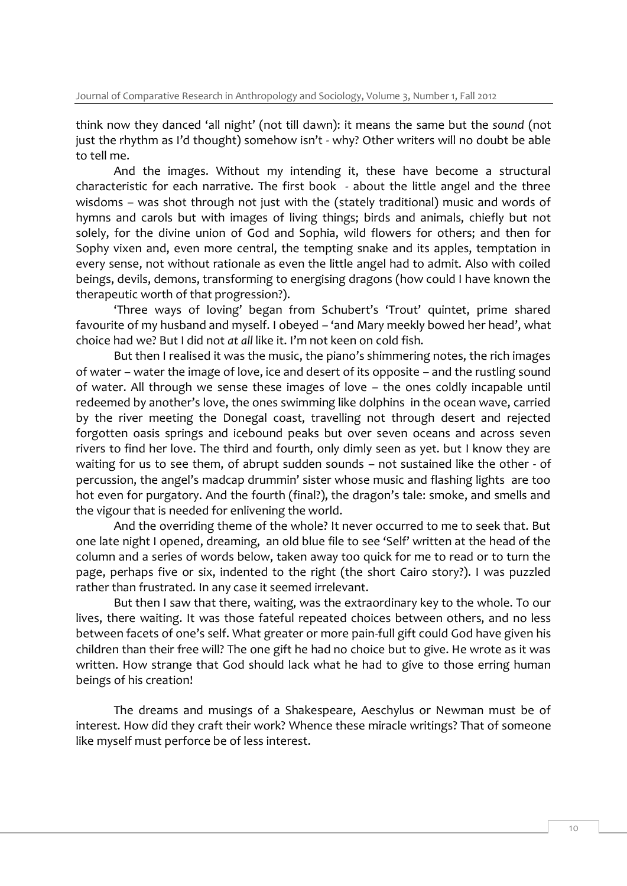think now they danced 'all night' (not till dawn): it means the same but the *sound* (not just the rhythm as I'd thought) somehow isn't - why? Other writers will no doubt be able to tell me.

And the images. Without my intending it, these have become a structural characteristic for each narrative. The first book - about the little angel and the three wisdoms – was shot through not just with the (stately traditional) music and words of hymns and carols but with images of living things; birds and animals, chiefly but not solely, for the divine union of God and Sophia, wild flowers for others; and then for Sophy vixen and, even more central, the tempting snake and its apples, temptation in every sense, not without rationale as even the little angel had to admit. Also with coiled beings, devils, demons, transforming to energising dragons (how could I have known the therapeutic worth of that progression?).

'Three ways of loving' began from Schubert's 'Trout' quintet, prime shared favourite of my husband and myself. I obeyed – 'and Mary meekly bowed her head', what choice had we? But I did not *at all* like it. I'm not keen on cold fish.

But then I realised it was the music, the piano's shimmering notes, the rich images of water – water the image of love, ice and desert of its opposite – and the rustling sound of water. All through we sense these images of love – the ones coldly incapable until redeemed by another's love, the ones swimming like dolphins in the ocean wave, carried by the river meeting the Donegal coast, travelling not through desert and rejected forgotten oasis springs and icebound peaks but over seven oceans and across seven rivers to find her love. The third and fourth, only dimly seen as yet. but I know they are waiting for us to see them, of abrupt sudden sounds – not sustained like the other - of percussion, the angel's madcap drummin' sister whose music and flashing lights are too hot even for purgatory. And the fourth (final?), the dragon's tale: smoke, and smells and the vigour that is needed for enlivening the world.

And the overriding theme of the whole? It never occurred to me to seek that. But one late night I opened, dreaming, an old blue file to see 'Self' written at the head of the column and a series of words below, taken away too quick for me to read or to turn the page, perhaps five or six, indented to the right (the short Cairo story?). I was puzzled rather than frustrated. In any case it seemed irrelevant.

But then I saw that there, waiting, was the extraordinary key to the whole. To our lives, there waiting. It was those fateful repeated choices between others, and no less between facets of one's self. What greater or more pain-full gift could God have given his children than their free will? The one gift he had no choice but to give. He wrote as it was written. How strange that God should lack what he had to give to those erring human beings of his creation!

The dreams and musings of a Shakespeare, Aeschylus or Newman must be of interest. How did they craft their work? Whence these miracle writings? That of someone like myself must perforce be of less interest.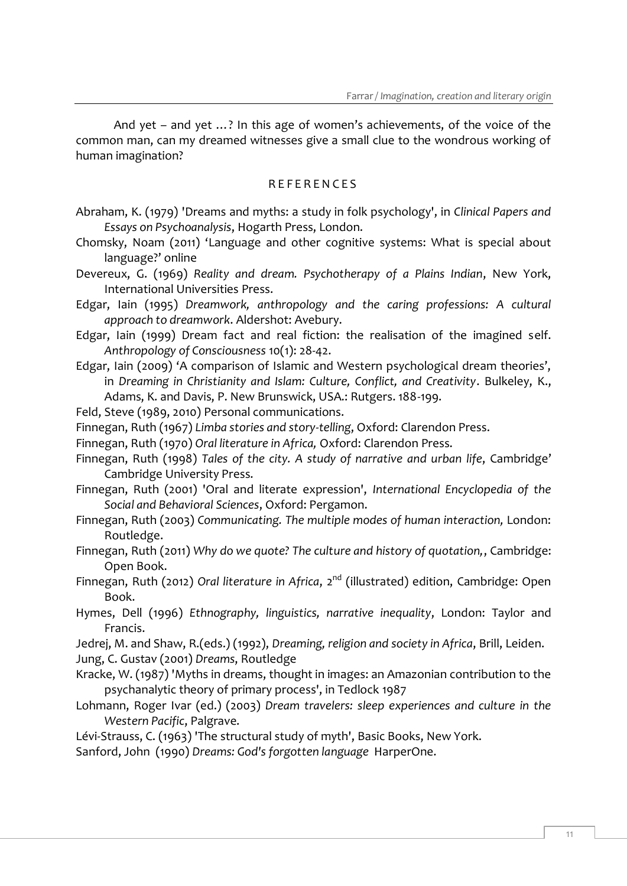And yet – and yet …? In this age of women's achievements, of the voice of the common man, can my dreamed witnesses give a small clue to the wondrous working of human imagination?

#### R E F E R E N C E S

- Abraham, K. (1979) 'Dreams and myths: a study in folk psychology', in *Clinical Papers and Essays on Psychoanalysis*, Hogarth Press, London.
- Chomsky, Noam (2011) '[Language and other cognitive systems: What is special about](http://www.psypress.co.uk/common/generic/psypress/r2/redir.asp?a=1386&m=168754&t=h&url=http%3A%2F%2Fwww%2Etandfonline%2Ecom%2Fdoi%2Ffull%2F10%2E1080%2F15475441%2E2011%2E584041)  [language?](http://www.psypress.co.uk/common/generic/psypress/r2/redir.asp?a=1386&m=168754&t=h&url=http%3A%2F%2Fwww%2Etandfonline%2Ecom%2Fdoi%2Ffull%2F10%2E1080%2F15475441%2E2011%2E584041)' online
- Devereux, G. (1969) *Reality and dream. Psychotherapy of a Plains Indian*, New York, International Universities Press.
- Edgar, Iain (1995) *Dreamwork, anthropology and the caring professions: A cultural approach to dreamwork*. Aldershot: Avebury.
- Edgar, Iain (1999) Dream fact and real fiction: the realisation of the imagined self. *Anthropology of Consciousness* 10(1): 28-42.
- Edgar, Iain (2009) 'A comparison of Islamic and Western psychological dream theories', in *Dreaming in Christianity and Islam: Culture, Conflict, and Creativity*. Bulkeley, K., Adams, K. and Davis, P. New Brunswick, USA.: Rutgers. 188-199.
- Feld, Steve (1989, 2010) Personal communications.
- Finnegan, Ruth (1967) *Limba stories and story-telling*, Oxford: Clarendon Press.
- Finnegan, Ruth (1970) *Oral literature in Africa,* Oxford: Clarendon Press.
- Finnegan, Ruth (1998) *Tales of the city. A study of narrative and urban life*, Cambridge' Cambridge University Press.
- Finnegan, Ruth (2001) 'Oral and literate expression', *International Encyclopedia of the Social and Behavioral Sciences*, Oxford: Pergamon.
- Finnegan, Ruth (2003) *Communicating. The multiple modes of human interaction,* London: Routledge.
- Finnegan, Ruth (2011) *Why do we quote? The culture and history of quotation,*, Cambridge: Open Book.
- Finnegan, Ruth (2012) *Oral literature in Africa*, 2<sup>nd</sup> (illustrated) edition, Cambridge: Open Book.
- Hymes, Dell (1996) *Ethnography, linguistics, narrative inequality*, London: Taylor and Francis.
- Jedrej, M. and Shaw, R.(eds.) (1992), *Dreaming, religion and society in Africa*, Brill, Leiden. Jung, C. Gustav (2001) *Dreams*, Routledge
- Kracke, W. (1987) 'Myths in dreams, thought in images: an Amazonian contribution to the psychanalytic theory of primary process', in Tedlock 1987
- Lohmann, Roger Ivar (ed.) (2003) *Dream travelers: sleep experiences and culture in the Western Pacific*, Palgrave.
- Lévi-Strauss, C. (1963) 'The structural study of myth', Basic Books, New York.
- Sanford, John (1990) *Dreams: God's forgotten language* HarperOne.